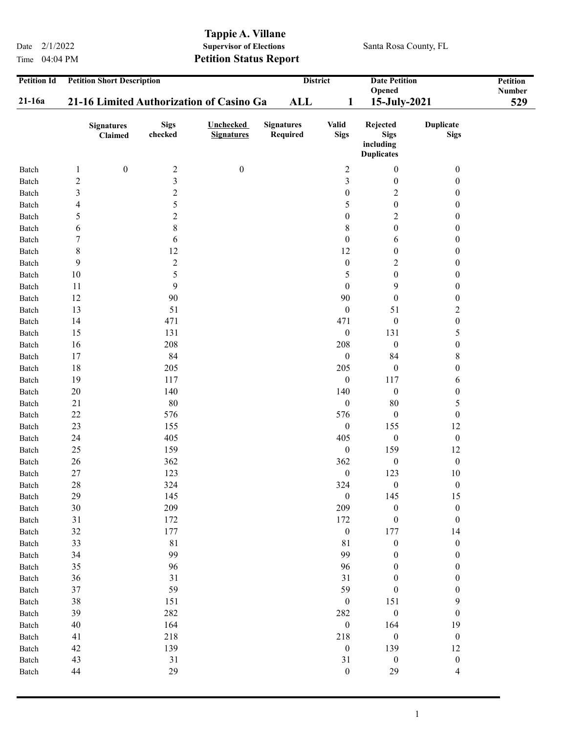Time 04:04 PM **Petition Status Report** 

## Tappie A. Villane<br>Supervisor of Elections Date  $2/1/2022$  Supervisor of Elections Santa Rosa County, FL

| <b>Petition Id</b><br>21-16a | <b>Petition Short Description</b><br>21-16 Limited Authorization of Casino Ga | <b>ALL</b>              | <b>District</b><br><b>Date Petition</b><br>Opened<br>15-July-2021<br>1 |                               |                             | Petition<br>Number<br>529                                 |                                 |  |
|------------------------------|-------------------------------------------------------------------------------|-------------------------|------------------------------------------------------------------------|-------------------------------|-----------------------------|-----------------------------------------------------------|---------------------------------|--|
|                              | <b>Signatures</b><br>Claimed                                                  | <b>Sigs</b><br>checked  | <b>Unchecked</b><br><b>Signatures</b>                                  | <b>Signatures</b><br>Required | <b>Valid</b><br><b>Sigs</b> | Rejected<br><b>Sigs</b><br>including<br><b>Duplicates</b> | <b>Duplicate</b><br><b>Sigs</b> |  |
| Batch                        | $\boldsymbol{0}$<br>$\mathbf{1}$                                              | $\overline{c}$          | $\boldsymbol{0}$                                                       |                               | $\overline{c}$              | $\boldsymbol{0}$                                          | $\boldsymbol{0}$                |  |
| Batch                        | $\sqrt{2}$                                                                    | 3                       |                                                                        |                               | 3                           | $\boldsymbol{0}$                                          | 0                               |  |
| Batch                        | $\mathfrak{Z}$                                                                | $\overline{\mathbf{c}}$ |                                                                        |                               | $\boldsymbol{0}$            | $\overline{c}$                                            | $\boldsymbol{0}$                |  |
| Batch                        | 4                                                                             | 5                       |                                                                        |                               | 5                           | $\boldsymbol{0}$                                          | $\boldsymbol{0}$                |  |
| Batch                        | 5                                                                             | $\overline{c}$          |                                                                        |                               | $\boldsymbol{0}$            | $\overline{c}$                                            | $\boldsymbol{0}$                |  |
| Batch                        | 6                                                                             | 8                       |                                                                        |                               | $8\,$                       | $\boldsymbol{0}$                                          | $\boldsymbol{0}$                |  |
| Batch                        | 7                                                                             | 6                       |                                                                        |                               | $\boldsymbol{0}$            | 6                                                         | $\boldsymbol{0}$                |  |
| Batch                        | $\,$ 8 $\,$                                                                   | 12                      |                                                                        |                               | 12                          | $\boldsymbol{0}$                                          | $\boldsymbol{0}$                |  |
| Batch                        | 9                                                                             | $\overline{c}$          |                                                                        |                               | $\boldsymbol{0}$            | $\overline{c}$                                            | $\boldsymbol{0}$                |  |
| Batch                        | 10                                                                            | 5                       |                                                                        |                               | 5                           | $\boldsymbol{0}$                                          | $\boldsymbol{0}$                |  |
| Batch                        | 11                                                                            | 9                       |                                                                        |                               | $\boldsymbol{0}$            | 9                                                         | $\boldsymbol{0}$                |  |
| Batch                        | 12                                                                            | 90                      |                                                                        |                               | 90                          | $\boldsymbol{0}$                                          | $\boldsymbol{0}$                |  |
| Batch                        | 13                                                                            | 51                      |                                                                        |                               | $\boldsymbol{0}$            | 51                                                        | $\boldsymbol{2}$                |  |
| Batch                        | 14                                                                            | 471                     |                                                                        |                               | 471                         | $\boldsymbol{0}$                                          | $\boldsymbol{0}$                |  |
| Batch                        | 15                                                                            | 131                     |                                                                        |                               | $\boldsymbol{0}$            | 131                                                       | 5                               |  |
| Batch                        | 16                                                                            | 208                     |                                                                        |                               | 208                         | $\boldsymbol{0}$                                          | $\boldsymbol{0}$                |  |
| Batch                        | 17                                                                            | 84                      |                                                                        |                               | $\boldsymbol{0}$            | 84                                                        | $8\,$                           |  |
| Batch                        | 18                                                                            | 205                     |                                                                        |                               | 205                         | $\boldsymbol{0}$                                          | $\boldsymbol{0}$                |  |
| Batch                        | 19                                                                            | 117                     |                                                                        |                               | $\boldsymbol{0}$            | 117                                                       | 6                               |  |
| Batch                        | 20                                                                            | 140                     |                                                                        |                               | 140                         | $\boldsymbol{0}$                                          | $\boldsymbol{0}$                |  |
| Batch                        | 21                                                                            | $80\,$                  |                                                                        |                               | $\boldsymbol{0}$            | 80                                                        | 5                               |  |
| Batch                        | $22\,$                                                                        | 576                     |                                                                        |                               | 576                         | $\boldsymbol{0}$                                          | $\boldsymbol{0}$                |  |
| Batch                        | 23                                                                            | 155                     |                                                                        |                               | $\boldsymbol{0}$            | 155                                                       | 12                              |  |
| Batch                        | 24                                                                            | 405                     |                                                                        |                               | 405                         | $\boldsymbol{0}$                                          | $\boldsymbol{0}$                |  |
| Batch                        | 25                                                                            | 159                     |                                                                        |                               | $\boldsymbol{0}$            | 159                                                       | 12                              |  |
| Batch                        | 26                                                                            | 362                     |                                                                        |                               | 362                         | $\boldsymbol{0}$                                          | $\boldsymbol{0}$                |  |
| Batch                        | 27                                                                            | 123                     |                                                                        |                               | $\boldsymbol{0}$            | 123                                                       | 10                              |  |
| Batch                        | 28                                                                            | 324                     |                                                                        |                               | 324                         | $\boldsymbol{0}$                                          | $\boldsymbol{0}$                |  |
| Batch                        | 29                                                                            | 145                     |                                                                        |                               | $\boldsymbol{0}$            | 145                                                       | 15                              |  |
| Batch                        | $30\,$                                                                        | 209                     |                                                                        |                               | 209                         | $\boldsymbol{0}$                                          | $\boldsymbol{0}$                |  |
| Batch                        | 31                                                                            | 172                     |                                                                        |                               | 172                         | $\boldsymbol{0}$                                          | $\boldsymbol{0}$                |  |
| Batch                        | 32                                                                            | 177                     |                                                                        |                               | $\boldsymbol{0}$            | 177                                                       | 14                              |  |
| Batch                        | 33                                                                            | $8\sqrt{1}$             |                                                                        |                               | 81                          | $\boldsymbol{0}$                                          | $\boldsymbol{0}$                |  |
| Batch                        | 34                                                                            | 99                      |                                                                        |                               | 99                          | $\boldsymbol{0}$                                          | $\boldsymbol{0}$                |  |
| Batch                        | 35                                                                            | 96                      |                                                                        |                               | 96                          | $\boldsymbol{0}$                                          | $\boldsymbol{0}$                |  |
| Batch                        | 36                                                                            | 31                      |                                                                        |                               | 31                          | $\boldsymbol{0}$                                          | $\boldsymbol{0}$                |  |
| Batch                        | 37                                                                            | 59                      |                                                                        |                               | 59                          | $\boldsymbol{0}$                                          | $\boldsymbol{0}$                |  |
| Batch                        | $38\,$                                                                        | 151                     |                                                                        |                               | $\boldsymbol{0}$            | 151                                                       | 9                               |  |
| Batch                        | 39                                                                            | 282                     |                                                                        |                               | 282                         | $\boldsymbol{0}$                                          | $\boldsymbol{0}$                |  |
| Batch                        | $40\,$                                                                        | 164                     |                                                                        |                               | $\boldsymbol{0}$            | 164                                                       | 19                              |  |
| Batch                        | 41                                                                            | 218                     |                                                                        |                               | 218                         | $\boldsymbol{0}$                                          | $\boldsymbol{0}$                |  |
| Batch                        | 42                                                                            | 139                     |                                                                        |                               | $\boldsymbol{0}$            | 139                                                       | 12                              |  |
| Batch                        | 43                                                                            | 31                      |                                                                        |                               | 31                          | $\boldsymbol{0}$                                          | $\boldsymbol{0}$                |  |
| Batch                        | 44                                                                            | 29                      |                                                                        |                               | $\boldsymbol{0}$            | 29                                                        | $\overline{\mathcal{A}}$        |  |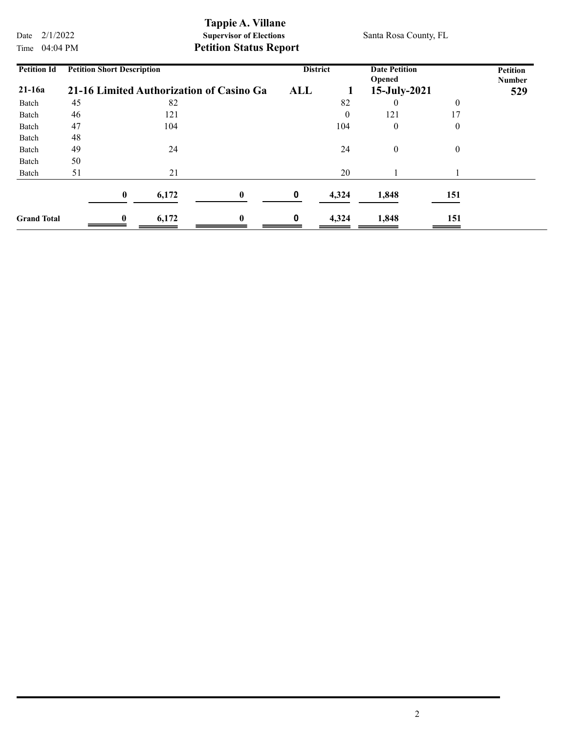Tappie A. Villane<br>Supervisor of Elections Date  $2/1/2022$  Supervisor of Elections Santa Rosa County, FL

Time 04:04 PM **Petition Status Report** 

| <b>Petition Id</b> | <b>Petition Short Description</b><br>21-16 Limited Authorization of Casino Ga |              |       | <b>District</b> |   | <b>Date Petition</b><br>Opened |                  | <b>Petition</b><br><b>Number</b> |  |
|--------------------|-------------------------------------------------------------------------------|--------------|-------|-----------------|---|--------------------------------|------------------|----------------------------------|--|
| $21-16a$           |                                                                               |              |       | ALL             |   | 15-July-2021                   |                  | 529                              |  |
| Batch              | 45                                                                            |              | 82    |                 |   | 82                             | 0                | $\overline{0}$                   |  |
| Batch              | 46                                                                            |              | 121   |                 |   | $\theta$                       | 121              | 17                               |  |
| Batch              | 47                                                                            |              | 104   |                 |   | 104                            | $\boldsymbol{0}$ | $\theta$                         |  |
| Batch              | 48                                                                            |              |       |                 |   |                                |                  |                                  |  |
| Batch              | 49                                                                            |              | 24    |                 |   | 24                             | $\boldsymbol{0}$ | $\theta$                         |  |
| Batch              | 50                                                                            |              |       |                 |   |                                |                  |                                  |  |
| Batch              | 51                                                                            |              | 21    |                 |   | 20                             |                  |                                  |  |
|                    |                                                                               | $\mathbf{0}$ | 6,172 | $\mathbf{0}$    | 0 | 4,324                          | 1,848            | 151                              |  |
| <b>Grand Total</b> |                                                                               | 0            | 6,172 | $\bf{0}$        | 0 | 4,324                          | 1,848            | 151                              |  |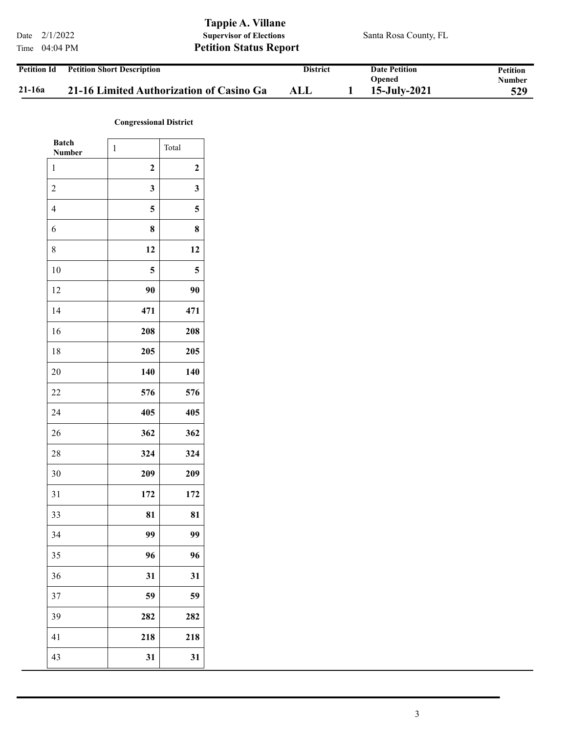Tappie A. Villane Date  $2/1/2022$  Supervisor of Elections Santa Rosa County, FL Time 04:04 PM **Petition Status Report** Petition Short Description District Date Petition Petition **District** Petition Id

|        |                                          |     | Opened       | ----------<br>Number |
|--------|------------------------------------------|-----|--------------|----------------------|
| 21-16a | 21-16 Limited Authorization of Casino Ga | ALL | 15-July-2021 | 529                  |

## Congressional District

| <b>Batch</b><br><b>Number</b> | $\mathbf{1}$     | Total            |
|-------------------------------|------------------|------------------|
| 1                             | $\boldsymbol{2}$ | $\boldsymbol{2}$ |
| $\overline{c}$                | $\mathbf{3}$     | 3                |
| $\overline{4}$                | 5                | 5                |
| 6                             | 8                | 8                |
| 8                             | 12               | 12               |
| 10                            | 5                | 5                |
| 12                            | 90               | 90               |
| 14                            | 471              | 471              |
| 16                            | 208              | 208              |
| 18                            | 205              | 205              |
| 20                            | 140              | 140              |
| 22                            | 576              | 576              |
| 24                            | 405              | 405              |
| 26                            | 362              | 362              |
| 28                            | 324              | 324              |
| 30                            | 209              | 209              |
| 31                            | 172              | 172              |
| 33                            | 81               | 81               |
| 34                            | 99               | 99               |
| 35                            | 96               | 96               |
| 36                            | 31               | 31               |
| 37                            | 59               | 59               |
| 39                            | 282              | 282              |
| 41                            | 218              | 218              |
| 43                            | 31               | 31               |